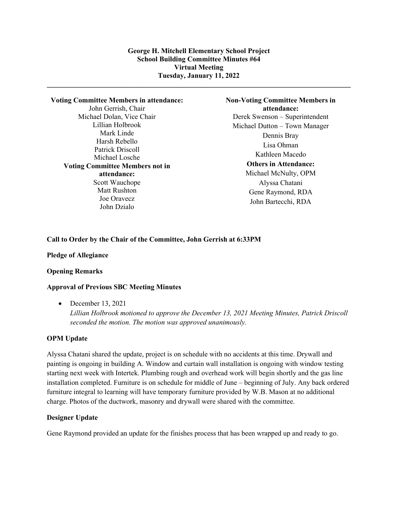**\_\_\_\_\_\_\_\_\_\_\_\_\_\_\_\_\_\_\_\_\_\_\_\_\_\_\_\_\_\_\_\_\_\_\_\_\_\_\_\_\_\_\_\_\_\_\_\_\_\_\_\_\_\_\_\_\_\_\_\_\_\_\_\_\_\_\_\_\_\_\_\_\_\_\_\_\_\_\_\_\_\_\_\_\_** 

**Voting Committee Members in attendance:** John Gerrish, Chair Michael Dolan, Vice Chair Lillian Holbrook Mark Linde Harsh Rebello Patrick Driscoll Michael Losche **Voting Committee Members not in attendance:** Scott Wauchope Matt Rushton Joe Oravecz John Dzialo

**Non-Voting Committee Members in attendance:** Derek Swenson – Superintendent Michael Dutton – Town Manager Dennis Bray Lisa Ohman Kathleen Macedo **Others in Attendance:** Michael McNulty, OPM Alyssa Chatani Gene Raymond, RDA John Bartecchi, RDA

# **Call to Order by the Chair of the Committee, John Gerrish at 6:33PM**

## **Pledge of Allegiance**

# **Opening Remarks**

# **Approval of Previous SBC Meeting Minutes**

• December 13, 2021

*Lillian Holbrook motioned to approve the December 13, 2021 Meeting Minutes, Patrick Driscoll seconded the motion. The motion was approved unanimously.* 

#### **OPM Update**

Alyssa Chatani shared the update, project is on schedule with no accidents at this time. Drywall and painting is ongoing in building A. Window and curtain wall installation is ongoing with window testing starting next week with Intertek. Plumbing rough and overhead work will begin shortly and the gas line installation completed. Furniture is on schedule for middle of June – beginning of July. Any back ordered furniture integral to learning will have temporary furniture provided by W.B. Mason at no additional charge. Photos of the ductwork, masonry and drywall were shared with the committee.

# **Designer Update**

Gene Raymond provided an update for the finishes process that has been wrapped up and ready to go.